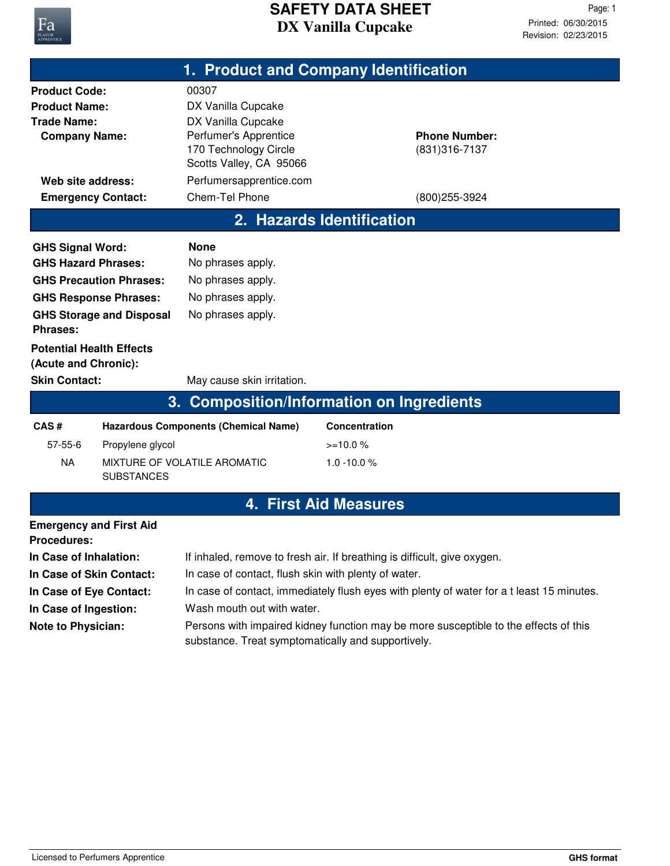

|                                                                                                                                                                     |                                                                                                         | 1. Product and Company Identification                                                                                                                                                                                         |                              |                                        |  |
|---------------------------------------------------------------------------------------------------------------------------------------------------------------------|---------------------------------------------------------------------------------------------------------|-------------------------------------------------------------------------------------------------------------------------------------------------------------------------------------------------------------------------------|------------------------------|----------------------------------------|--|
| <b>Product Code:</b><br><b>Product Name:</b><br><b>Trade Name:</b><br><b>Company Name:</b><br>Web site address:                                                     |                                                                                                         | 00307<br>DX Vanilla Cupcake<br>DX Vanilla Cupcake<br>Perfumer's Apprentice<br>170 Technology Circle<br>Scotts Valley, CA 95066<br>Perfumersapprentice.com                                                                     |                              | <b>Phone Number:</b><br>(831) 316-7137 |  |
| <b>Emergency Contact:</b>                                                                                                                                           |                                                                                                         | Chem-Tel Phone                                                                                                                                                                                                                |                              | (800) 255-3924                         |  |
| 2. Hazards Identification                                                                                                                                           |                                                                                                         |                                                                                                                                                                                                                               |                              |                                        |  |
| <b>GHS Signal Word:</b><br><b>GHS Hazard Phrases:</b><br><b>Phrases:</b><br><b>Potential Health Effects</b><br>(Acute and Chronic):<br><b>Skin Contact:</b><br>CAS# | <b>GHS Precaution Phrases:</b><br><b>GHS Response Phrases:</b><br><b>GHS Storage and Disposal</b><br>3. | <b>None</b><br>No phrases apply.<br>No phrases apply.<br>No phrases apply.<br>No phrases apply.<br>May cause skin irritation.<br><b>Composition/Information on Ingredients</b><br><b>Hazardous Components (Chemical Name)</b> | <b>Concentration</b>         |                                        |  |
| $57 - 55 - 6$                                                                                                                                                       | Propylene glycol                                                                                        |                                                                                                                                                                                                                               | $>=10.0%$                    |                                        |  |
| <b>NA</b>                                                                                                                                                           | <b>SUBSTANCES</b>                                                                                       | MIXTURE OF VOLATILE AROMATIC                                                                                                                                                                                                  | $1.0 - 10.0 %$               |                                        |  |
|                                                                                                                                                                     |                                                                                                         |                                                                                                                                                                                                                               | <b>4. First Aid Measures</b> |                                        |  |
| <b>Emergency and First Aid</b><br><b>Procedures:</b>                                                                                                                |                                                                                                         |                                                                                                                                                                                                                               |                              |                                        |  |
| In Case of Inhalation:                                                                                                                                              |                                                                                                         | If inhaled, remove to fresh air. If breathing is difficult, give oxygen.                                                                                                                                                      |                              |                                        |  |
| In Case of Skin Contact:                                                                                                                                            |                                                                                                         | In case of contact, flush skin with plenty of water.                                                                                                                                                                          |                              |                                        |  |
| In Case of Eye Contact:                                                                                                                                             |                                                                                                         | In case of contact, immediately flush eyes with plenty of water for a t least 15 minutes.                                                                                                                                     |                              |                                        |  |
| In Case of Ingestion:                                                                                                                                               |                                                                                                         | Wash mouth out with water.                                                                                                                                                                                                    |                              |                                        |  |

Persons with impaired kidney function may be more susceptible to the effects of this substance. Treat symptomatically and supportively. **Note to Physician:**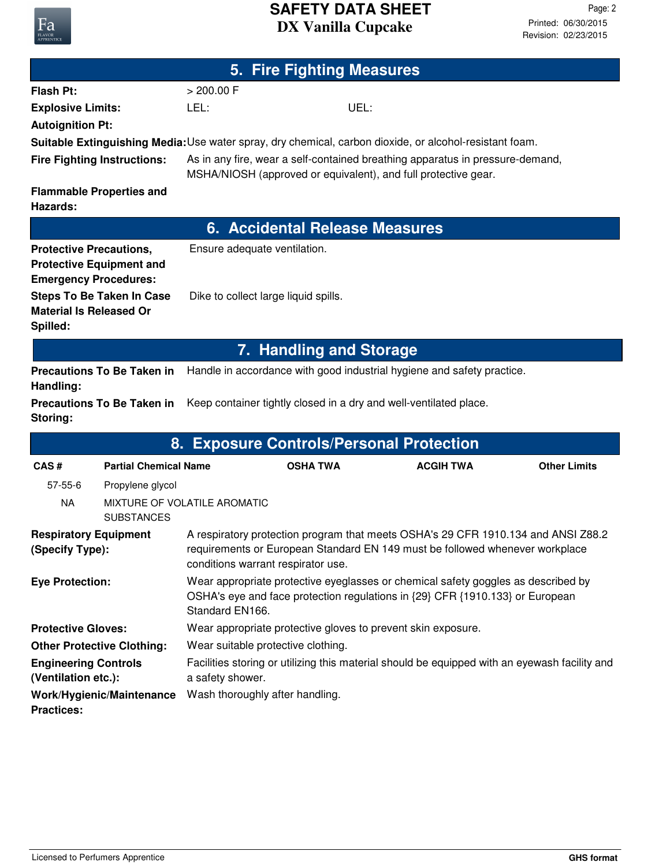## **DX Vanilla Cupcake SAFETY DATA SHEET**

**5. Fire Fighting Measures**

| <b>Flash Pt:</b>                                                                                        | > 200.00 F                                                                                                                                                                                              |                                                                                               |                                                                                                                                                 |                     |  |
|---------------------------------------------------------------------------------------------------------|---------------------------------------------------------------------------------------------------------------------------------------------------------------------------------------------------------|-----------------------------------------------------------------------------------------------|-------------------------------------------------------------------------------------------------------------------------------------------------|---------------------|--|
| <b>Explosive Limits:</b>                                                                                | LEL:                                                                                                                                                                                                    | UEL:                                                                                          |                                                                                                                                                 |                     |  |
| <b>Autoignition Pt:</b>                                                                                 |                                                                                                                                                                                                         |                                                                                               |                                                                                                                                                 |                     |  |
| Suitable Extinguishing Media: Use water spray, dry chemical, carbon dioxide, or alcohol-resistant foam. |                                                                                                                                                                                                         |                                                                                               |                                                                                                                                                 |                     |  |
| <b>Fire Fighting Instructions:</b>                                                                      |                                                                                                                                                                                                         |                                                                                               | As in any fire, wear a self-contained breathing apparatus in pressure-demand,<br>MSHA/NIOSH (approved or equivalent), and full protective gear. |                     |  |
| <b>Flammable Properties and</b><br><b>Hazards:</b>                                                      |                                                                                                                                                                                                         |                                                                                               |                                                                                                                                                 |                     |  |
|                                                                                                         |                                                                                                                                                                                                         | <b>6. Accidental Release Measures</b>                                                         |                                                                                                                                                 |                     |  |
| <b>Protective Precautions,</b><br><b>Protective Equipment and</b><br><b>Emergency Procedures:</b>       |                                                                                                                                                                                                         | Ensure adequate ventilation.                                                                  |                                                                                                                                                 |                     |  |
| <b>Steps To Be Taken In Case</b><br><b>Material Is Released Or</b><br>Spilled:                          | Dike to collect large liquid spills.                                                                                                                                                                    |                                                                                               |                                                                                                                                                 |                     |  |
|                                                                                                         |                                                                                                                                                                                                         | 7. Handling and Storage                                                                       |                                                                                                                                                 |                     |  |
| <b>Precautions To Be Taken in</b><br>Handling:                                                          |                                                                                                                                                                                                         |                                                                                               | Handle in accordance with good industrial hygiene and safety practice.                                                                          |                     |  |
| Storing:                                                                                                | <b>Precautions To Be Taken in</b><br>Keep container tightly closed in a dry and well-ventilated place.                                                                                                  |                                                                                               |                                                                                                                                                 |                     |  |
|                                                                                                         | 8. Exposure Controls/Personal Protection                                                                                                                                                                |                                                                                               |                                                                                                                                                 |                     |  |
| CAS#<br><b>Partial Chemical Name</b>                                                                    |                                                                                                                                                                                                         | <b>OSHA TWA</b>                                                                               | <b>ACGIH TWA</b>                                                                                                                                | <b>Other Limits</b> |  |
| $57 - 55 - 6$<br>Propylene glycol                                                                       |                                                                                                                                                                                                         |                                                                                               |                                                                                                                                                 |                     |  |
| <b>NA</b><br><b>SUBSTANCES</b>                                                                          | MIXTURE OF VOLATILE AROMATIC                                                                                                                                                                            |                                                                                               |                                                                                                                                                 |                     |  |
| <b>Respiratory Equipment</b><br>(Specify Type):                                                         | A respiratory protection program that meets OSHA's 29 CFR 1910.134 and ANSI Z88.2<br>requirements or European Standard EN 149 must be followed whenever workplace<br>conditions warrant respirator use. |                                                                                               |                                                                                                                                                 |                     |  |
| <b>Eye Protection:</b>                                                                                  | Wear appropriate protective eyeglasses or chemical safety goggles as described by<br>OSHA's eye and face protection regulations in {29} CFR {1910.133} or European<br>Standard EN166.                   |                                                                                               |                                                                                                                                                 |                     |  |
| <b>Protective Gloves:</b>                                                                               | Wear appropriate protective gloves to prevent skin exposure.                                                                                                                                            |                                                                                               |                                                                                                                                                 |                     |  |
| <b>Other Protective Clothing:</b>                                                                       |                                                                                                                                                                                                         | Wear suitable protective clothing.                                                            |                                                                                                                                                 |                     |  |
| <b>Engineering Controls</b><br>(Ventilation etc.):                                                      | a safety shower.                                                                                                                                                                                        | Facilities storing or utilizing this material should be equipped with an eyewash facility and |                                                                                                                                                 |                     |  |
| Work/Hygienic/Maintenance<br><b>Practices:</b>                                                          | Wash thoroughly after handling.                                                                                                                                                                         |                                                                                               |                                                                                                                                                 |                     |  |

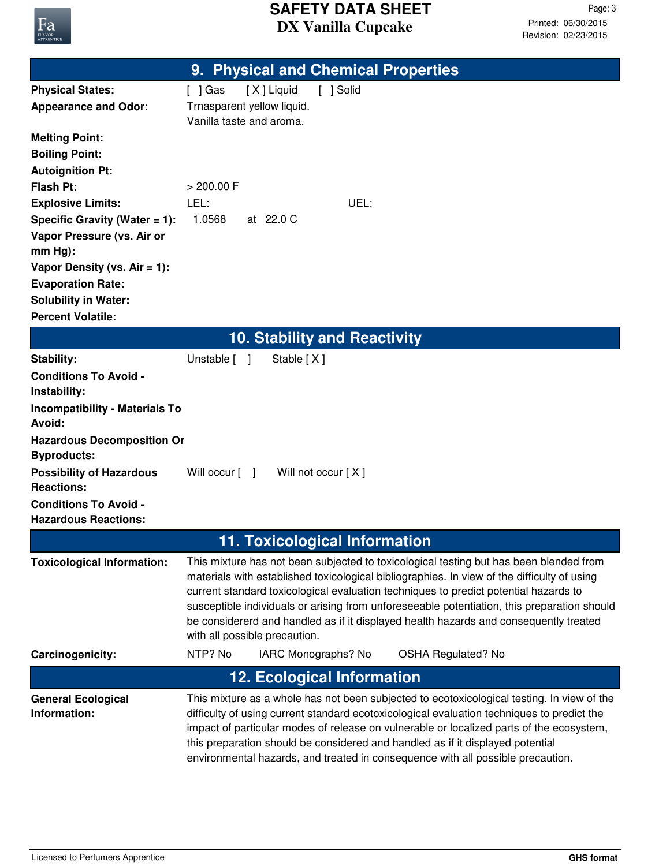

|                                                             | 9. Physical and Chemical Properties                                                                                                                                                                                                                                           |
|-------------------------------------------------------------|-------------------------------------------------------------------------------------------------------------------------------------------------------------------------------------------------------------------------------------------------------------------------------|
| <b>Physical States:</b>                                     | [X] Liquid<br>[ ] Solid<br>$[$ ] Gas                                                                                                                                                                                                                                          |
| <b>Appearance and Odor:</b>                                 | Trnasparent yellow liquid.                                                                                                                                                                                                                                                    |
|                                                             | Vanilla taste and aroma.                                                                                                                                                                                                                                                      |
| <b>Melting Point:</b>                                       |                                                                                                                                                                                                                                                                               |
| <b>Boiling Point:</b>                                       |                                                                                                                                                                                                                                                                               |
| <b>Autoignition Pt:</b>                                     |                                                                                                                                                                                                                                                                               |
| <b>Flash Pt:</b>                                            | > 200.00 F                                                                                                                                                                                                                                                                    |
| <b>Explosive Limits:</b>                                    | LEL:<br>UEL:                                                                                                                                                                                                                                                                  |
| Specific Gravity (Water $= 1$ ):                            | 1.0568<br>at 22.0 C                                                                                                                                                                                                                                                           |
| Vapor Pressure (vs. Air or<br>$mm Hg$ :                     |                                                                                                                                                                                                                                                                               |
| Vapor Density (vs. $Air = 1$ ):                             |                                                                                                                                                                                                                                                                               |
| <b>Evaporation Rate:</b>                                    |                                                                                                                                                                                                                                                                               |
| <b>Solubility in Water:</b>                                 |                                                                                                                                                                                                                                                                               |
| <b>Percent Volatile:</b>                                    |                                                                                                                                                                                                                                                                               |
|                                                             | <b>10. Stability and Reactivity</b>                                                                                                                                                                                                                                           |
| Stability:                                                  | Unstable [ ]<br>Stable [X]                                                                                                                                                                                                                                                    |
| <b>Conditions To Avoid -</b>                                |                                                                                                                                                                                                                                                                               |
| Instability:                                                |                                                                                                                                                                                                                                                                               |
| <b>Incompatibility - Materials To</b>                       |                                                                                                                                                                                                                                                                               |
| Avoid:                                                      |                                                                                                                                                                                                                                                                               |
| <b>Hazardous Decomposition Or</b>                           |                                                                                                                                                                                                                                                                               |
| <b>Byproducts:</b>                                          |                                                                                                                                                                                                                                                                               |
| <b>Possibility of Hazardous</b>                             | Will occur [ ]<br>Will not occur [X]                                                                                                                                                                                                                                          |
| <b>Reactions:</b>                                           |                                                                                                                                                                                                                                                                               |
| <b>Conditions To Avoid -</b><br><b>Hazardous Reactions:</b> |                                                                                                                                                                                                                                                                               |
|                                                             |                                                                                                                                                                                                                                                                               |
|                                                             | <b>11. Toxicological Information</b>                                                                                                                                                                                                                                          |
| <b>Toxicological Information:</b>                           | This mixture has not been subjected to toxicological testing but has been blended from<br>materials with established toxicological bibliographies. In view of the difficulty of using<br>current standard toxicological evaluation techniques to predict potential hazards to |
|                                                             | susceptible individuals or arising from unforeseeable potentiation, this preparation should                                                                                                                                                                                   |
|                                                             | be considererd and handled as if it displayed health hazards and consequently treated                                                                                                                                                                                         |
|                                                             | with all possible precaution.                                                                                                                                                                                                                                                 |
| Carcinogenicity:                                            | NTP? No<br>IARC Monographs? No<br><b>OSHA Regulated? No</b>                                                                                                                                                                                                                   |
|                                                             | <b>12. Ecological Information</b>                                                                                                                                                                                                                                             |
| <b>General Ecological</b>                                   | This mixture as a whole has not been subjected to ecotoxicological testing. In view of the                                                                                                                                                                                    |
| Information:                                                | difficulty of using current standard ecotoxicological evaluation techniques to predict the                                                                                                                                                                                    |
|                                                             | impact of particular modes of release on vulnerable or localized parts of the ecosystem,                                                                                                                                                                                      |
|                                                             | this preparation should be considered and handled as if it displayed potential<br>environmental hazards, and treated in consequence with all possible precaution.                                                                                                             |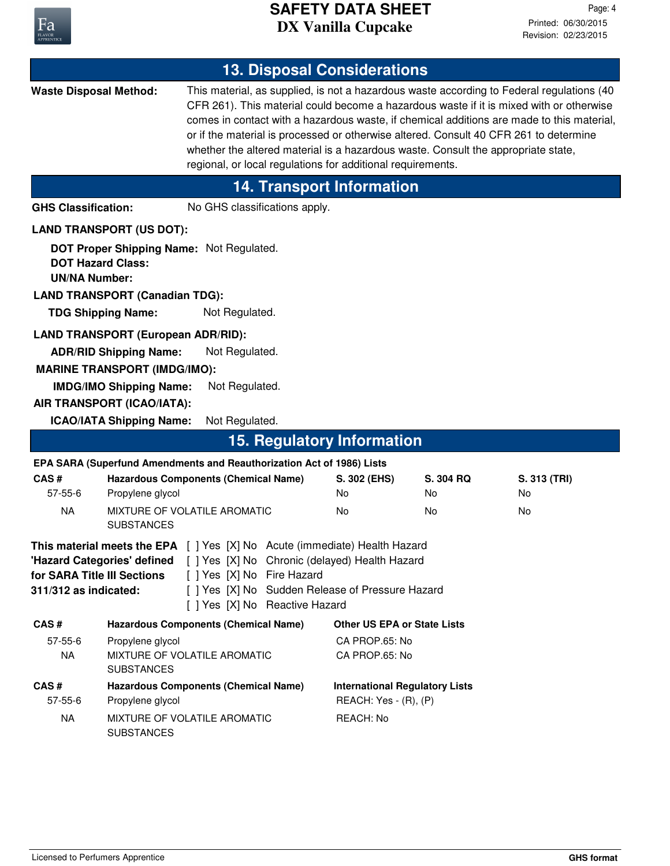

| <b>13. Disposal Considerations</b>                                                                                                                                                                                                                                                                                                   |                                                                                                                       |                                  |  |                                                                |                                                                                   |                                                                                                                                                                                                                                                                                                                                                                            |
|--------------------------------------------------------------------------------------------------------------------------------------------------------------------------------------------------------------------------------------------------------------------------------------------------------------------------------------|-----------------------------------------------------------------------------------------------------------------------|----------------------------------|--|----------------------------------------------------------------|-----------------------------------------------------------------------------------|----------------------------------------------------------------------------------------------------------------------------------------------------------------------------------------------------------------------------------------------------------------------------------------------------------------------------------------------------------------------------|
| <b>Waste Disposal Method:</b>                                                                                                                                                                                                                                                                                                        |                                                                                                                       |                                  |  | regional, or local regulations for additional requirements.    | whether the altered material is a hazardous waste. Consult the appropriate state, | This material, as supplied, is not a hazardous waste according to Federal regulations (40<br>CFR 261). This material could become a hazardous waste if it is mixed with or otherwise<br>comes in contact with a hazardous waste, if chemical additions are made to this material,<br>or if the material is processed or otherwise altered. Consult 40 CFR 261 to determine |
|                                                                                                                                                                                                                                                                                                                                      |                                                                                                                       |                                  |  | <b>14. Transport Information</b>                               |                                                                                   |                                                                                                                                                                                                                                                                                                                                                                            |
| <b>GHS Classification:</b>                                                                                                                                                                                                                                                                                                           |                                                                                                                       | No GHS classifications apply.    |  |                                                                |                                                                                   |                                                                                                                                                                                                                                                                                                                                                                            |
|                                                                                                                                                                                                                                                                                                                                      | <b>LAND TRANSPORT (US DOT):</b>                                                                                       |                                  |  |                                                                |                                                                                   |                                                                                                                                                                                                                                                                                                                                                                            |
| <b>DOT Hazard Class:</b><br><b>UN/NA Number:</b>                                                                                                                                                                                                                                                                                     | <b>DOT Proper Shipping Name: Not Regulated.</b><br><b>LAND TRANSPORT (Canadian TDG):</b><br><b>TDG Shipping Name:</b> | Not Regulated.                   |  |                                                                |                                                                                   |                                                                                                                                                                                                                                                                                                                                                                            |
|                                                                                                                                                                                                                                                                                                                                      | <b>LAND TRANSPORT (European ADR/RID):</b>                                                                             |                                  |  |                                                                |                                                                                   |                                                                                                                                                                                                                                                                                                                                                                            |
|                                                                                                                                                                                                                                                                                                                                      | <b>ADR/RID Shipping Name:</b><br><b>MARINE TRANSPORT (IMDG/IMO):</b><br><b>IMDG/IMO Shipping Name:</b>                | Not Regulated.<br>Not Regulated. |  |                                                                |                                                                                   |                                                                                                                                                                                                                                                                                                                                                                            |
|                                                                                                                                                                                                                                                                                                                                      | AIR TRANSPORT (ICAO/IATA):                                                                                            |                                  |  |                                                                |                                                                                   |                                                                                                                                                                                                                                                                                                                                                                            |
|                                                                                                                                                                                                                                                                                                                                      | <b>ICAO/IATA Shipping Name:</b>                                                                                       | Not Regulated.                   |  |                                                                |                                                                                   |                                                                                                                                                                                                                                                                                                                                                                            |
|                                                                                                                                                                                                                                                                                                                                      |                                                                                                                       |                                  |  | <b>15. Regulatory Information</b>                              |                                                                                   |                                                                                                                                                                                                                                                                                                                                                                            |
|                                                                                                                                                                                                                                                                                                                                      | EPA SARA (Superfund Amendments and Reauthorization Act of 1986) Lists                                                 |                                  |  |                                                                |                                                                                   |                                                                                                                                                                                                                                                                                                                                                                            |
| CAS#<br>$57 - 55 - 6$                                                                                                                                                                                                                                                                                                                | <b>Hazardous Components (Chemical Name)</b><br>Propylene glycol                                                       |                                  |  | S. 302 (EHS)<br>No                                             | S. 304 RQ<br>No                                                                   | S. 313 (TRI)<br>No                                                                                                                                                                                                                                                                                                                                                         |
| <b>NA</b>                                                                                                                                                                                                                                                                                                                            | MIXTURE OF VOLATILE AROMATIC<br><b>SUBSTANCES</b>                                                                     |                                  |  | No.                                                            | No                                                                                | No                                                                                                                                                                                                                                                                                                                                                                         |
| This material meets the EPA [ ] Yes [X] No Acute (immediate) Health Hazard<br>"Hazard Categories' defined [ ] Yes [X] No Chronic (delayed) Health Hazard<br>[ ] Yes [X] No Fire Hazard<br>for SARA Title III Sections<br>[ ] Yes [X] No Sudden Release of Pressure Hazard<br>311/312 as indicated:<br>[ ] Yes [X] No Reactive Hazard |                                                                                                                       |                                  |  |                                                                |                                                                                   |                                                                                                                                                                                                                                                                                                                                                                            |
| CAS#                                                                                                                                                                                                                                                                                                                                 | <b>Hazardous Components (Chemical Name)</b>                                                                           |                                  |  | <b>Other US EPA or State Lists</b>                             |                                                                                   |                                                                                                                                                                                                                                                                                                                                                                            |
| $57 - 55 - 6$<br><b>NA</b>                                                                                                                                                                                                                                                                                                           | Propylene glycol<br>MIXTURE OF VOLATILE AROMATIC<br><b>SUBSTANCES</b>                                                 |                                  |  | CA PROP.65: No<br>CA PROP.65: No                               |                                                                                   |                                                                                                                                                                                                                                                                                                                                                                            |
| CAS#<br>$57 - 55 - 6$                                                                                                                                                                                                                                                                                                                | <b>Hazardous Components (Chemical Name)</b><br>Propylene glycol                                                       |                                  |  | <b>International Regulatory Lists</b><br>REACH: Yes - (R), (P) |                                                                                   |                                                                                                                                                                                                                                                                                                                                                                            |
| <b>NA</b>                                                                                                                                                                                                                                                                                                                            | MIXTURE OF VOLATILE AROMATIC<br><b>SUBSTANCES</b>                                                                     |                                  |  | REACH: No                                                      |                                                                                   |                                                                                                                                                                                                                                                                                                                                                                            |